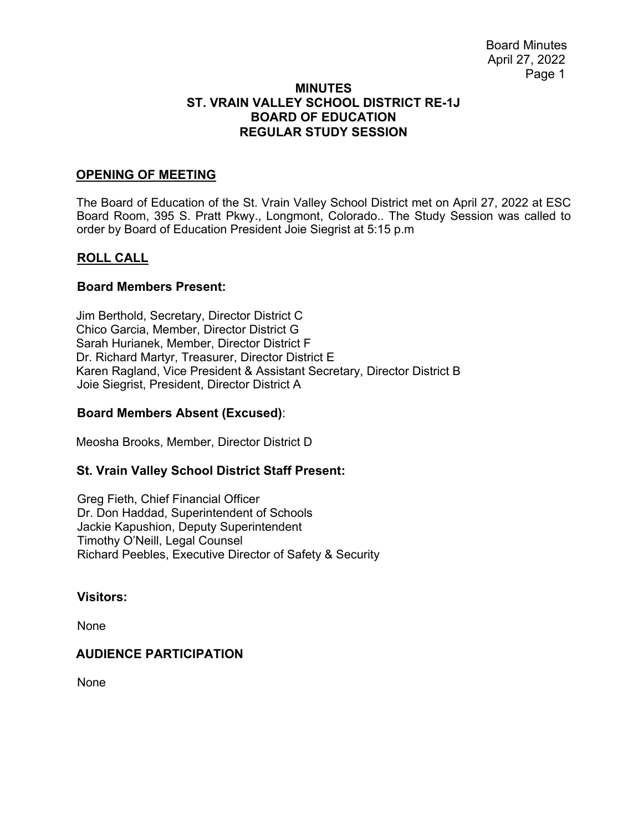### **MINUTES ST. VRAIN VALLEY SCHOOL DISTRICT RE-1J BOARD OF EDUCATION REGULAR STUDY SESSION**

## **OPENING OF MEETING**

The Board of Education of the St. Vrain Valley School District met on April 27, 2022 at ESC Board Room, 395 S. Pratt Pkwy., Longmont, Colorado.. The Study Session was called to order by Board of Education President Joie Siegrist at 5:15 p.m

# **ROLL CALL**

#### **Board Members Present:**

Jim Berthold, Secretary, Director District C Chico Garcia, Member, Director District G Sarah Hurianek, Member, Director District F Dr. Richard Martyr, Treasurer, Director District E Karen Ragland, Vice President & Assistant Secretary, Director District B Joie Siegrist, President, Director District A

## **Board Members Absent (Excused)**:

Meosha Brooks, Member, Director District D

## **St. Vrain Valley School District Staff Present:**

Greg Fieth, Chief Financial Officer Dr. Don Haddad, Superintendent of Schools Jackie Kapushion, Deputy Superintendent Timothy O'Neill, Legal Counsel Richard Peebles, Executive Director of Safety & Security

### **Visitors:**

None

## **AUDIENCE PARTICIPATION**

None